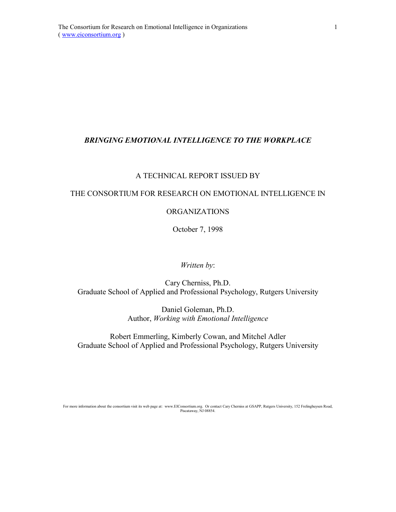# *BRINGING EMOTIONAL INTELLIGENCE TO THE WORKPLACE*

## A TECHNICAL REPORT ISSUED BY

# THE CONSORTIUM FOR RESEARCH ON EMOTIONAL INTELLIGENCE IN

## ORGANIZATIONS

October 7, 1998

#### *Written by*:

# Cary Cherniss, Ph.D. Graduate School of Applied and Professional Psychology, Rutgers University

Daniel Goleman, Ph.D. Author, *Working with Emotional Intelligence*

Robert Emmerling, Kimberly Cowan, and Mitchel Adler Graduate School of Applied and Professional Psychology, Rutgers University

For more information about the consortium visit its web page at: www.EIConsortium.org. Or contact Cary Cherniss at GSAPP, Rutgers University, 152 Frelinghuysen Road, Piscataway, NJ 08854.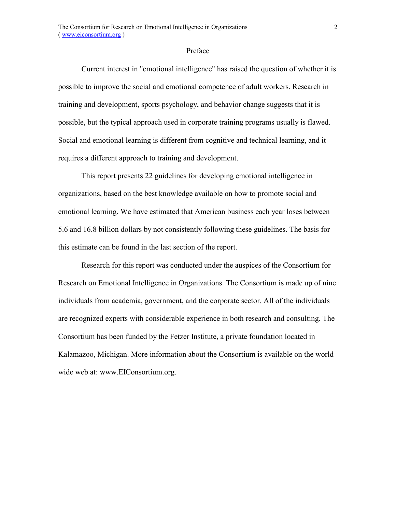## Preface

Current interest in "emotional intelligence" has raised the question of whether it is possible to improve the social and emotional competence of adult workers. Research in training and development, sports psychology, and behavior change suggests that it is possible, but the typical approach used in corporate training programs usually is flawed. Social and emotional learning is different from cognitive and technical learning, and it requires a different approach to training and development.

This report presents 22 guidelines for developing emotional intelligence in organizations, based on the best knowledge available on how to promote social and emotional learning. We have estimated that American business each year loses between 5.6 and 16.8 billion dollars by not consistently following these guidelines. The basis for this estimate can be found in the last section of the report.

Research for this report was conducted under the auspices of the Consortium for Research on Emotional Intelligence in Organizations. The Consortium is made up of nine individuals from academia, government, and the corporate sector. All of the individuals are recognized experts with considerable experience in both research and consulting. The Consortium has been funded by the Fetzer Institute, a private foundation located in Kalamazoo, Michigan. More information about the Consortium is available on the world wide web at: www.EIConsortium.org.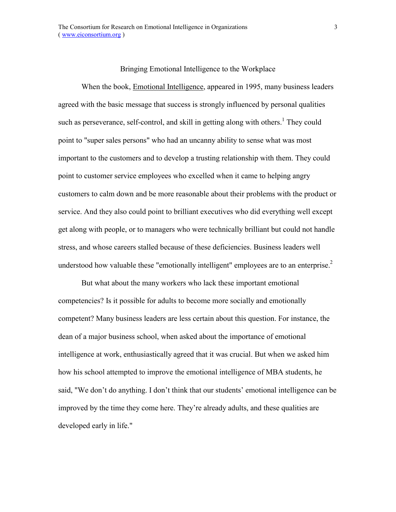### Bringing Emotional Intelligence to the Workplace

When the book, Emotional Intelligence, appeared in 1995, many business leaders agreed with the basic message that success is strongly influenced by personal qualities such as perseverance, self-control, and skill in getting along with others.<sup>1</sup> They could point to "super sales persons" who had an uncanny ability to sense what was most important to the customers and to develop a trusting relationship with them. They could point to customer service employees who excelled when it came to helping angry customers to calm down and be more reasonable about their problems with the product or service. And they also could point to brilliant executives who did everything well except get along with people, or to managers who were technically brilliant but could not handle stress, and whose careers stalled because of these deficiencies. Business leaders well understood how valuable these "emotionally intelligent" employees are to an enterprise.<sup>2</sup>

But what about the many workers who lack these important emotional competencies? Is it possible for adults to become more socially and emotionally competent? Many business leaders are less certain about this question. For instance, the dean of a major business school, when asked about the importance of emotional intelligence at work, enthusiastically agreed that it was crucial. But when we asked him how his school attempted to improve the emotional intelligence of MBA students, he said, "We don't do anything. I don't think that our students' emotional intelligence can be improved by the time they come here. They're already adults, and these qualities are developed early in life."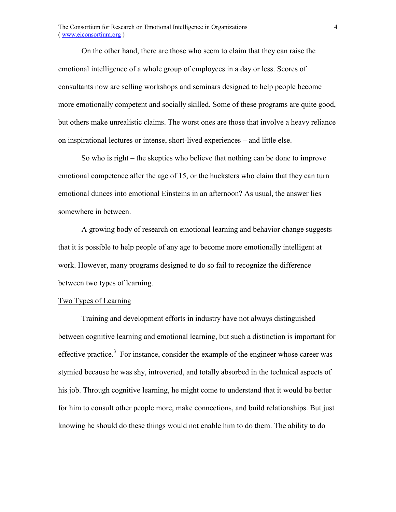On the other hand, there are those who seem to claim that they can raise the emotional intelligence of a whole group of employees in a day or less. Scores of consultants now are selling workshops and seminars designed to help people become more emotionally competent and socially skilled. Some of these programs are quite good, but others make unrealistic claims. The worst ones are those that involve a heavy reliance on inspirational lectures or intense, short-lived experiences – and little else.

So who is right  $-$  the skeptics who believe that nothing can be done to improve emotional competence after the age of 15, or the hucksters who claim that they can turn emotional dunces into emotional Einsteins in an afternoon? As usual, the answer lies somewhere in between.

A growing body of research on emotional learning and behavior change suggests that it is possible to help people of any age to become more emotionally intelligent at work. However, many programs designed to do so fail to recognize the difference between two types of learning.

#### Two Types of Learning

Training and development efforts in industry have not always distinguished between cognitive learning and emotional learning, but such a distinction is important for effective practice.<sup>3</sup> For instance, consider the example of the engineer whose career was stymied because he was shy, introverted, and totally absorbed in the technical aspects of his job. Through cognitive learning, he might come to understand that it would be better for him to consult other people more, make connections, and build relationships. But just knowing he should do these things would not enable him to do them. The ability to do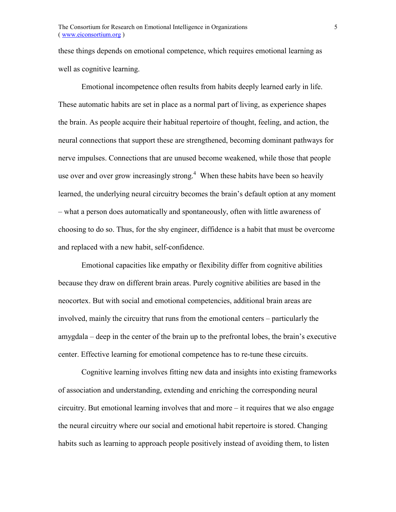these things depends on emotional competence, which requires emotional learning as well as cognitive learning.

Emotional incompetence often results from habits deeply learned early in life. These automatic habits are set in place as a normal part of living, as experience shapes the brain. As people acquire their habitual repertoire of thought, feeling, and action, the neural connections that support these are strengthened, becoming dominant pathways for nerve impulses. Connections that are unused become weakened, while those that people use over and over grow increasingly strong.<sup>4</sup> When these habits have been so heavily learned, the underlying neural circuitry becomes the brain's default option at any moment – what a person does automatically and spontaneously, often with little awareness of choosing to do so. Thus, for the shy engineer, diffidence is a habit that must be overcome and replaced with a new habit, self-confidence.

Emotional capacities like empathy or flexibility differ from cognitive abilities because they draw on different brain areas. Purely cognitive abilities are based in the neocortex. But with social and emotional competencies, additional brain areas are involved, mainly the circuitry that runs from the emotional centers – particularly the amygdala – deep in the center of the brain up to the prefrontal lobes, the brain's executive center. Effective learning for emotional competence has to re-tune these circuits.

Cognitive learning involves fitting new data and insights into existing frameworks of association and understanding, extending and enriching the corresponding neural circuitry. But emotional learning involves that and more  $-$  it requires that we also engage the neural circuitry where our social and emotional habit repertoire is stored. Changing habits such as learning to approach people positively instead of avoiding them, to listen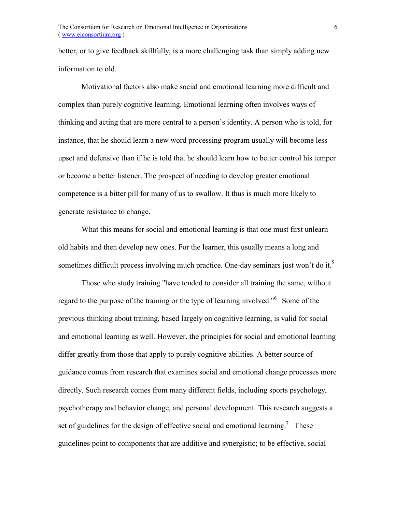better, or to give feedback skillfully, is a more challenging task than simply adding new information to old.

Motivational factors also make social and emotional learning more difficult and complex than purely cognitive learning. Emotional learning often involves ways of thinking and acting that are more central to a person's identity. A person who is told, for instance, that he should learn a new word processing program usually will become less upset and defensive than if he is told that he should learn how to better control his temper or become a better listener. The prospect of needing to develop greater emotional competence is a bitter pill for many of us to swallow. It thus is much more likely to generate resistance to change.

What this means for social and emotional learning is that one must first unlearn old habits and then develop new ones. For the learner, this usually means a long and sometimes difficult process involving much practice. One-day seminars just won't do it.<sup>5</sup>

Those who study training "have tended to consider all training the same, without regard to the purpose of the training or the type of learning involved."6 Some of the previous thinking about training, based largely on cognitive learning, is valid for social and emotional learning as well. However, the principles for social and emotional learning differ greatly from those that apply to purely cognitive abilities. A better source of guidance comes from research that examines social and emotional change processes more directly. Such research comes from many different fields, including sports psychology, psychotherapy and behavior change, and personal development. This research suggests a set of guidelines for the design of effective social and emotional learning.<sup>7</sup> These guidelines point to components that are additive and synergistic; to be effective, social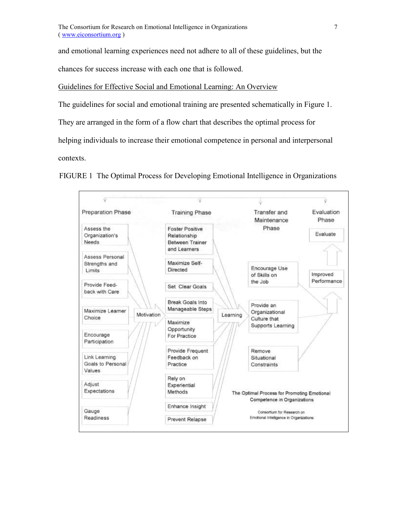and emotional learning experiences need not adhere to all of these guidelines, but the

chances for success increase with each one that is followed.

Guidelines for Effective Social and Emotional Learning: An Overview

The guidelines for social and emotional training are presented schematically in Figure 1.

They are arranged in the form of a flow chart that describes the optimal process for

helping individuals to increase their emotional competence in personal and interpersonal

contexts.

FIGURE 1 The Optimal Process for Developing Emotional Intelligence in Organizations

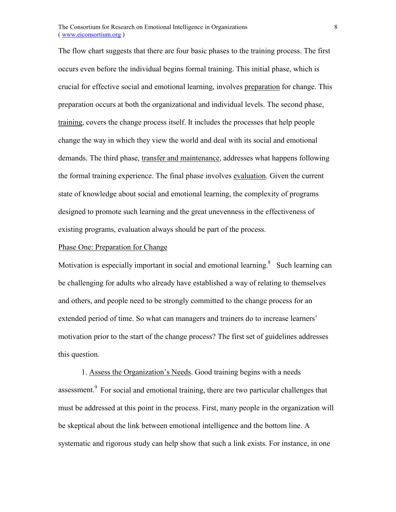The flow chart suggests that there are four basic phases to the training process. The first occurs even before the individual begins formal training. This initial phase, which is crucial for effective social and emotional learning, involves preparation for change. This preparation occurs at both the organizational and individual levels. The second phase, training, covers the change process itself. It includes the processes that help people change the way in which they view the world and deal with its social and emotional demands. The third phase, transfer and maintenance, addresses what happens following the formal training experience. The final phase involves evaluation. Given the current state of knowledge about social and emotional learning, the complexity of programs designed to promote such learning and the great unevenness in the effectiveness of existing programs, evaluation always should be part of the process.

## Phase One: Preparation for Change

Motivation is especially important in social and emotional learning. $8$  Such learning can be challenging for adults who already have established a way of relating to themselves and others, and people need to be strongly committed to the change process for an extended period of time. So what can managers and trainers do to increase learners' motivation prior to the start of the change process? The first set of guidelines addresses this question.

1. Assess the Organization's Needs. Good training begins with a needs assessment.<sup>9</sup> For social and emotional training, there are two particular challenges that must be addressed at this point in the process. First, many people in the organization will be skeptical about the link between emotional intelligence and the bottom line. A systematic and rigorous study can help show that such a link exists. For instance, in one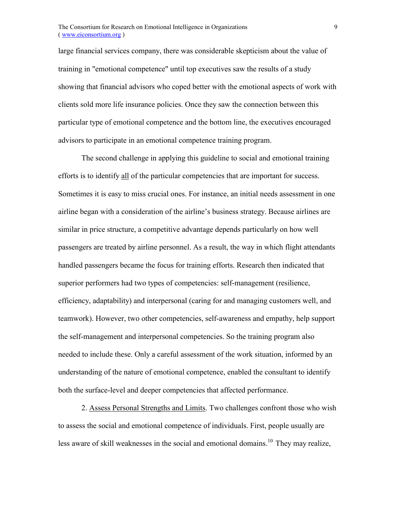large financial services company, there was considerable skepticism about the value of training in "emotional competence" until top executives saw the results of a study showing that financial advisors who coped better with the emotional aspects of work with clients sold more life insurance policies. Once they saw the connection between this particular type of emotional competence and the bottom line, the executives encouraged advisors to participate in an emotional competence training program.

The second challenge in applying this guideline to social and emotional training efforts is to identify all of the particular competencies that are important for success. Sometimes it is easy to miss crucial ones. For instance, an initial needs assessment in one airline began with a consideration of the airline's business strategy. Because airlines are similar in price structure, a competitive advantage depends particularly on how well passengers are treated by airline personnel. As a result, the way in which flight attendants handled passengers became the focus for training efforts. Research then indicated that superior performers had two types of competencies: self-management (resilience, efficiency, adaptability) and interpersonal (caring for and managing customers well, and teamwork). However, two other competencies, self-awareness and empathy, help support the self-management and interpersonal competencies. So the training program also needed to include these. Only a careful assessment of the work situation, informed by an understanding of the nature of emotional competence, enabled the consultant to identify both the surface-level and deeper competencies that affected performance.

2. Assess Personal Strengths and Limits. Two challenges confront those who wish to assess the social and emotional competence of individuals. First, people usually are less aware of skill weaknesses in the social and emotional domains.<sup>10</sup> They may realize,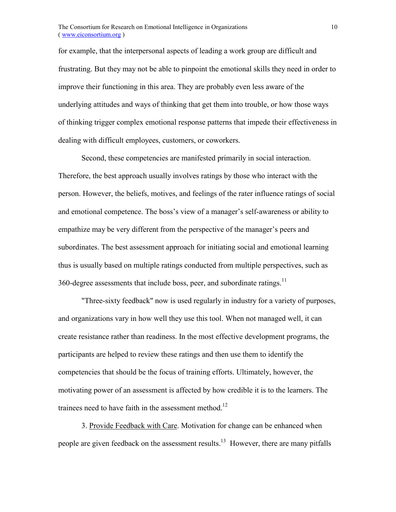for example, that the interpersonal aspects of leading a work group are difficult and frustrating. But they may not be able to pinpoint the emotional skills they need in order to improve their functioning in this area. They are probably even less aware of the underlying attitudes and ways of thinking that get them into trouble, or how those ways of thinking trigger complex emotional response patterns that impede their effectiveness in dealing with difficult employees, customers, or coworkers.

Second, these competencies are manifested primarily in social interaction. Therefore, the best approach usually involves ratings by those who interact with the person. However, the beliefs, motives, and feelings of the rater influence ratings of social and emotional competence. The boss's view of a manager's self-awareness or ability to empathize may be very different from the perspective of the manager's peers and subordinates. The best assessment approach for initiating social and emotional learning thus is usually based on multiple ratings conducted from multiple perspectives, such as 360-degree assessments that include boss, peer, and subordinate ratings.<sup>11</sup>

"Three-sixty feedback" now is used regularly in industry for a variety of purposes, and organizations vary in how well they use this tool. When not managed well, it can create resistance rather than readiness. In the most effective development programs, the participants are helped to review these ratings and then use them to identify the competencies that should be the focus of training efforts. Ultimately, however, the motivating power of an assessment is affected by how credible it is to the learners. The trainees need to have faith in the assessment method.<sup>12</sup>

3. Provide Feedback with Care. Motivation for change can be enhanced when people are given feedback on the assessment results.<sup>13</sup> However, there are many pitfalls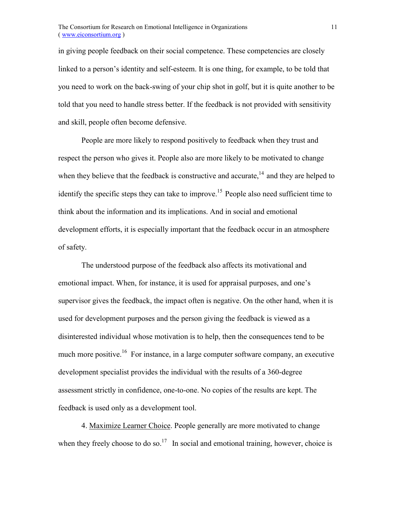in giving people feedback on their social competence. These competencies are closely linked to a person's identity and self-esteem. It is one thing, for example, to be told that you need to work on the back-swing of your chip shot in golf, but it is quite another to be told that you need to handle stress better. If the feedback is not provided with sensitivity and skill, people often become defensive.

People are more likely to respond positively to feedback when they trust and respect the person who gives it. People also are more likely to be motivated to change when they believe that the feedback is constructive and accurate,<sup>14</sup> and they are helped to identify the specific steps they can take to improve.<sup>15</sup> People also need sufficient time to think about the information and its implications. And in social and emotional development efforts, it is especially important that the feedback occur in an atmosphere of safety.

The understood purpose of the feedback also affects its motivational and emotional impact. When, for instance, it is used for appraisal purposes, and one's supervisor gives the feedback, the impact often is negative. On the other hand, when it is used for development purposes and the person giving the feedback is viewed as a disinterested individual whose motivation is to help, then the consequences tend to be much more positive.<sup>16</sup> For instance, in a large computer software company, an executive development specialist provides the individual with the results of a 360-degree assessment strictly in confidence, one-to-one. No copies of the results are kept. The feedback is used only as a development tool.

4. Maximize Learner Choice. People generally are more motivated to change when they freely choose to do so.<sup>17</sup> In social and emotional training, however, choice is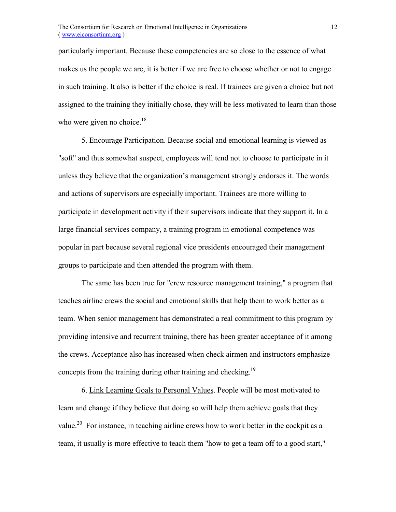particularly important. Because these competencies are so close to the essence of what makes us the people we are, it is better if we are free to choose whether or not to engage in such training. It also is better if the choice is real. If trainees are given a choice but not assigned to the training they initially chose, they will be less motivated to learn than those who were given no choice. $18$ 

5. Encourage Participation. Because social and emotional learning is viewed as "soft" and thus somewhat suspect, employees will tend not to choose to participate in it unless they believe that the organization's management strongly endorses it. The words and actions of supervisors are especially important. Trainees are more willing to participate in development activity if their supervisors indicate that they support it. In a large financial services company, a training program in emotional competence was popular in part because several regional vice presidents encouraged their management groups to participate and then attended the program with them.

The same has been true for "crew resource management training," a program that teaches airline crews the social and emotional skills that help them to work better as a team. When senior management has demonstrated a real commitment to this program by providing intensive and recurrent training, there has been greater acceptance of it among the crews. Acceptance also has increased when check airmen and instructors emphasize concepts from the training during other training and checking.<sup>19</sup>

6. Link Learning Goals to Personal Values. People will be most motivated to learn and change if they believe that doing so will help them achieve goals that they value.<sup>20</sup> For instance, in teaching airline crews how to work better in the cockpit as a team, it usually is more effective to teach them "how to get a team off to a good start,"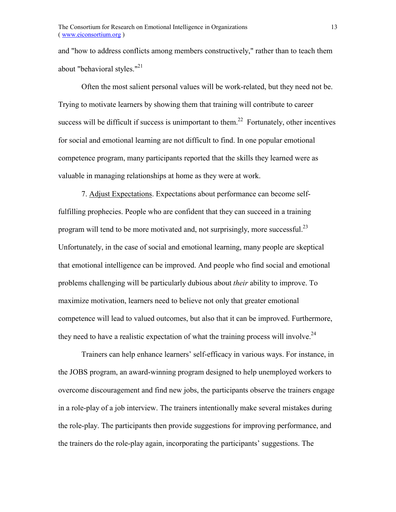and "how to address conflicts among members constructively," rather than to teach them about "behavioral styles."<sup>21</sup>

Often the most salient personal values will be work-related, but they need not be. Trying to motivate learners by showing them that training will contribute to career success will be difficult if success is unimportant to them.<sup>22</sup> Fortunately, other incentives for social and emotional learning are not difficult to find. In one popular emotional competence program, many participants reported that the skills they learned were as valuable in managing relationships at home as they were at work.

7. Adjust Expectations. Expectations about performance can become selffulfilling prophecies. People who are confident that they can succeed in a training program will tend to be more motivated and, not surprisingly, more successful.<sup>23</sup> Unfortunately, in the case of social and emotional learning, many people are skeptical that emotional intelligence can be improved. And people who find social and emotional problems challenging will be particularly dubious about *their* ability to improve. To maximize motivation, learners need to believe not only that greater emotional competence will lead to valued outcomes, but also that it can be improved. Furthermore, they need to have a realistic expectation of what the training process will involve.<sup>24</sup>

Trainers can help enhance learners' self-efficacy in various ways. For instance, in the JOBS program, an award-winning program designed to help unemployed workers to overcome discouragement and find new jobs, the participants observe the trainers engage in a role-play of a job interview. The trainers intentionally make several mistakes during the role-play. The participants then provide suggestions for improving performance, and the trainers do the role-play again, incorporating the participants' suggestions. The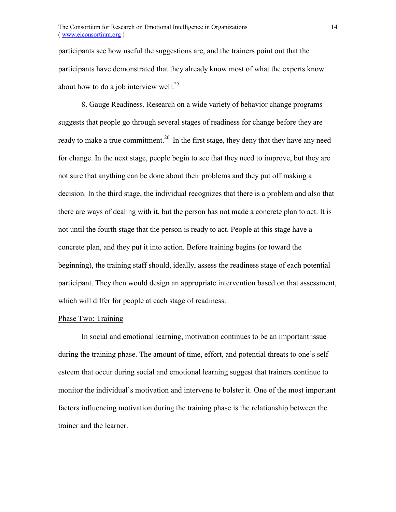participants see how useful the suggestions are, and the trainers point out that the participants have demonstrated that they already know most of what the experts know about how to do a job interview well.<sup>25</sup>

8. Gauge Readiness. Research on a wide variety of behavior change programs suggests that people go through several stages of readiness for change before they are ready to make a true commitment.<sup>26</sup> In the first stage, they deny that they have any need for change. In the next stage, people begin to see that they need to improve, but they are not sure that anything can be done about their problems and they put off making a decision. In the third stage, the individual recognizes that there is a problem and also that there are ways of dealing with it, but the person has not made a concrete plan to act. It is not until the fourth stage that the person is ready to act. People at this stage have a concrete plan, and they put it into action. Before training begins (or toward the beginning), the training staff should, ideally, assess the readiness stage of each potential participant. They then would design an appropriate intervention based on that assessment, which will differ for people at each stage of readiness.

#### Phase Two: Training

In social and emotional learning, motivation continues to be an important issue during the training phase. The amount of time, effort, and potential threats to one's selfesteem that occur during social and emotional learning suggest that trainers continue to monitor the individual's motivation and intervene to bolster it. One of the most important factors influencing motivation during the training phase is the relationship between the trainer and the learner.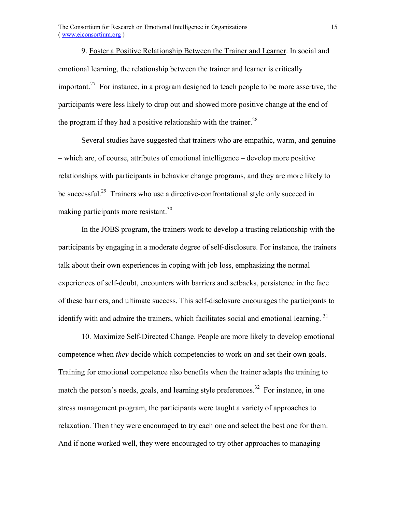9. Foster a Positive Relationship Between the Trainer and Learner. In social and emotional learning, the relationship between the trainer and learner is critically important.<sup>27</sup> For instance, in a program designed to teach people to be more assertive, the participants were less likely to drop out and showed more positive change at the end of the program if they had a positive relationship with the trainer.<sup>28</sup>

Several studies have suggested that trainers who are empathic, warm, and genuine  $-$  which are, of course, attributes of emotional intelligence  $-$  develop more positive relationships with participants in behavior change programs, and they are more likely to be successful.<sup>29</sup> Trainers who use a directive-confrontational style only succeed in making participants more resistant.<sup>30</sup>

In the JOBS program, the trainers work to develop a trusting relationship with the participants by engaging in a moderate degree of self-disclosure. For instance, the trainers talk about their own experiences in coping with job loss, emphasizing the normal experiences of self-doubt, encounters with barriers and setbacks, persistence in the face of these barriers, and ultimate success. This self-disclosure encourages the participants to identify with and admire the trainers, which facilitates social and emotional learning.<sup>31</sup>

10. Maximize Self-Directed Change. People are more likely to develop emotional competence when *they* decide which competencies to work on and set their own goals. Training for emotional competence also benefits when the trainer adapts the training to match the person's needs, goals, and learning style preferences.<sup>32</sup> For instance, in one stress management program, the participants were taught a variety of approaches to relaxation. Then they were encouraged to try each one and select the best one for them. And if none worked well, they were encouraged to try other approaches to managing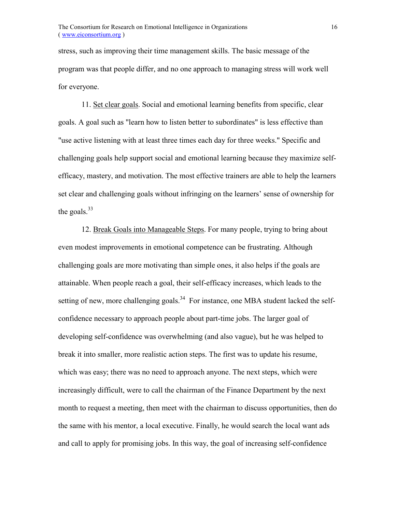stress, such as improving their time management skills. The basic message of the program was that people differ, and no one approach to managing stress will work well for everyone.

11. Set clear goals. Social and emotional learning benefits from specific, clear goals. A goal such as "learn how to listen better to subordinates" is less effective than "use active listening with at least three times each day for three weeks." Specific and challenging goals help support social and emotional learning because they maximize selfefficacy, mastery, and motivation. The most effective trainers are able to help the learners set clear and challenging goals without infringing on the learners' sense of ownership for the goals. $33$ 

12. Break Goals into Manageable Steps. For many people, trying to bring about even modest improvements in emotional competence can be frustrating. Although challenging goals are more motivating than simple ones, it also helps if the goals are attainable. When people reach a goal, their self-efficacy increases, which leads to the setting of new, more challenging goals.<sup>34</sup> For instance, one MBA student lacked the selfconfidence necessary to approach people about part-time jobs. The larger goal of developing self-confidence was overwhelming (and also vague), but he was helped to break it into smaller, more realistic action steps. The first was to update his resume, which was easy; there was no need to approach anyone. The next steps, which were increasingly difficult, were to call the chairman of the Finance Department by the next month to request a meeting, then meet with the chairman to discuss opportunities, then do the same with his mentor, a local executive. Finally, he would search the local want ads and call to apply for promising jobs. In this way, the goal of increasing self-confidence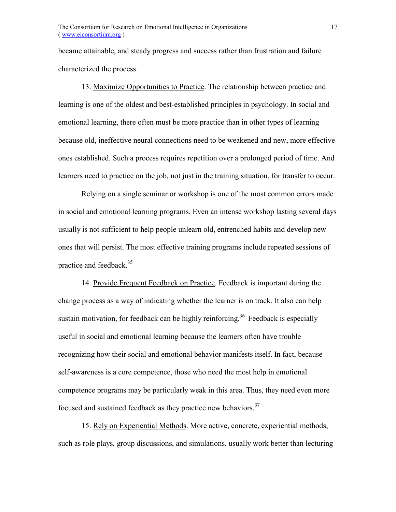became attainable, and steady progress and success rather than frustration and failure characterized the process.

13. Maximize Opportunities to Practice. The relationship between practice and learning is one of the oldest and best-established principles in psychology. In social and emotional learning, there often must be more practice than in other types of learning because old, ineffective neural connections need to be weakened and new, more effective ones established. Such a process requires repetition over a prolonged period of time. And learners need to practice on the job, not just in the training situation, for transfer to occur.

Relying on a single seminar or workshop is one of the most common errors made in social and emotional learning programs. Even an intense workshop lasting several days usually is not sufficient to help people unlearn old, entrenched habits and develop new ones that will persist. The most effective training programs include repeated sessions of practice and feedback.<sup>35</sup>

14. Provide Frequent Feedback on Practice. Feedback is important during the change process as a way of indicating whether the learner is on track. It also can help sustain motivation, for feedback can be highly reinforcing.<sup>36</sup> Feedback is especially useful in social and emotional learning because the learners often have trouble recognizing how their social and emotional behavior manifests itself. In fact, because self-awareness is a core competence, those who need the most help in emotional competence programs may be particularly weak in this area. Thus, they need even more focused and sustained feedback as they practice new behaviors.<sup>37</sup>

15. Rely on Experiential Methods. More active, concrete, experiential methods, such as role plays, group discussions, and simulations, usually work better than lecturing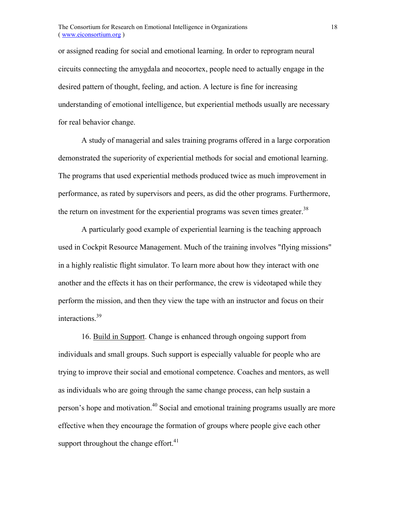or assigned reading for social and emotional learning. In order to reprogram neural circuits connecting the amygdala and neocortex, people need to actually engage in the desired pattern of thought, feeling, and action. A lecture is fine for increasing understanding of emotional intelligence, but experiential methods usually are necessary for real behavior change.

A study of managerial and sales training programs offered in a large corporation demonstrated the superiority of experiential methods for social and emotional learning. The programs that used experiential methods produced twice as much improvement in performance, as rated by supervisors and peers, as did the other programs. Furthermore, the return on investment for the experiential programs was seven times greater.<sup>38</sup>

A particularly good example of experiential learning is the teaching approach used in Cockpit Resource Management. Much of the training involves "flying missions" in a highly realistic flight simulator. To learn more about how they interact with one another and the effects it has on their performance, the crew is videotaped while they perform the mission, and then they view the tape with an instructor and focus on their interactions.39

16. Build in Support. Change is enhanced through ongoing support from individuals and small groups. Such support is especially valuable for people who are trying to improve their social and emotional competence. Coaches and mentors, as well as individuals who are going through the same change process, can help sustain a person's hope and motivation.<sup>40</sup> Social and emotional training programs usually are more effective when they encourage the formation of groups where people give each other support throughout the change effort. $41$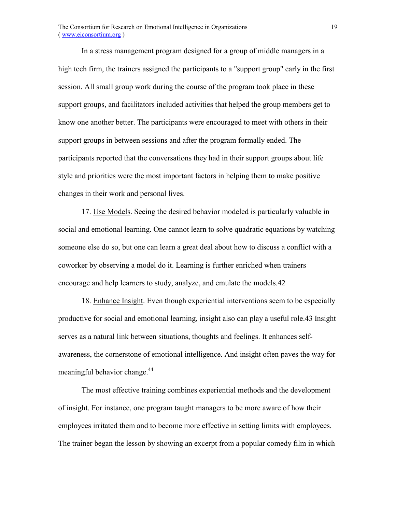In a stress management program designed for a group of middle managers in a high tech firm, the trainers assigned the participants to a "support group" early in the first session. All small group work during the course of the program took place in these support groups, and facilitators included activities that helped the group members get to know one another better. The participants were encouraged to meet with others in their support groups in between sessions and after the program formally ended. The participants reported that the conversations they had in their support groups about life style and priorities were the most important factors in helping them to make positive changes in their work and personal lives.

17. Use Models. Seeing the desired behavior modeled is particularly valuable in social and emotional learning. One cannot learn to solve quadratic equations by watching someone else do so, but one can learn a great deal about how to discuss a conflict with a coworker by observing a model do it. Learning is further enriched when trainers encourage and help learners to study, analyze, and emulate the models.42

18. Enhance Insight. Even though experiential interventions seem to be especially productive for social and emotional learning, insight also can play a useful role.43 Insight serves as a natural link between situations, thoughts and feelings. It enhances selfawareness, the cornerstone of emotional intelligence. And insight often paves the way for meaningful behavior change.<sup>44</sup>

The most effective training combines experiential methods and the development of insight. For instance, one program taught managers to be more aware of how their employees irritated them and to become more effective in setting limits with employees. The trainer began the lesson by showing an excerpt from a popular comedy film in which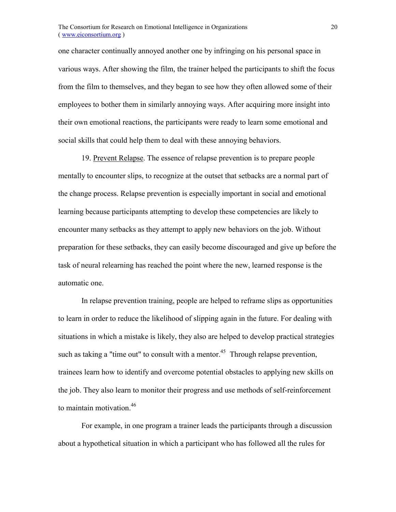one character continually annoyed another one by infringing on his personal space in various ways. After showing the film, the trainer helped the participants to shift the focus from the film to themselves, and they began to see how they often allowed some of their employees to bother them in similarly annoying ways. After acquiring more insight into their own emotional reactions, the participants were ready to learn some emotional and social skills that could help them to deal with these annoying behaviors.

19. Prevent Relapse. The essence of relapse prevention is to prepare people mentally to encounter slips, to recognize at the outset that setbacks are a normal part of the change process. Relapse prevention is especially important in social and emotional learning because participants attempting to develop these competencies are likely to encounter many setbacks as they attempt to apply new behaviors on the job. Without preparation for these setbacks, they can easily become discouraged and give up before the task of neural relearning has reached the point where the new, learned response is the automatic one.

In relapse prevention training, people are helped to reframe slips as opportunities to learn in order to reduce the likelihood of slipping again in the future. For dealing with situations in which a mistake is likely, they also are helped to develop practical strategies such as taking a "time out" to consult with a mentor.<sup>45</sup> Through relapse prevention, trainees learn how to identify and overcome potential obstacles to applying new skills on the job. They also learn to monitor their progress and use methods of self-reinforcement to maintain motivation.<sup>46</sup>

For example, in one program a trainer leads the participants through a discussion about a hypothetical situation in which a participant who has followed all the rules for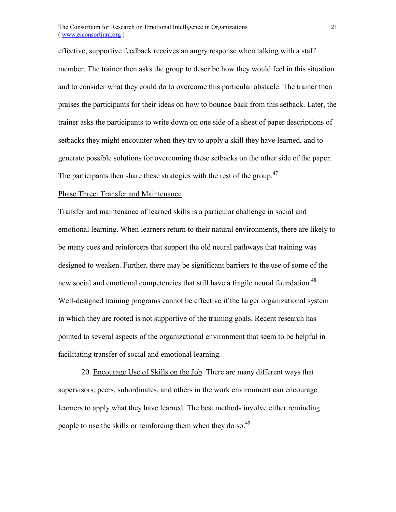effective, supportive feedback receives an angry response when talking with a staff member. The trainer then asks the group to describe how they would feel in this situation and to consider what they could do to overcome this particular obstacle. The trainer then praises the participants for their ideas on how to bounce back from this setback. Later, the trainer asks the participants to write down on one side of a sheet of paper descriptions of setbacks they might encounter when they try to apply a skill they have learned, and to generate possible solutions for overcoming these setbacks on the other side of the paper. The participants then share these strategies with the rest of the group.<sup>47</sup>

#### Phase Three: Transfer and Maintenance

Transfer and maintenance of learned skills is a particular challenge in social and emotional learning. When learners return to their natural environments, there are likely to be many cues and reinforcers that support the old neural pathways that training was designed to weaken. Further, there may be significant barriers to the use of some of the new social and emotional competencies that still have a fragile neural foundation.<sup>48</sup> Well-designed training programs cannot be effective if the larger organizational system in which they are rooted is not supportive of the training goals. Recent research has pointed to several aspects of the organizational environment that seem to be helpful in facilitating transfer of social and emotional learning.

20. Encourage Use of Skills on the Job. There are many different ways that supervisors, peers, subordinates, and others in the work environment can encourage learners to apply what they have learned. The best methods involve either reminding people to use the skills or reinforcing them when they do so.<sup>49</sup>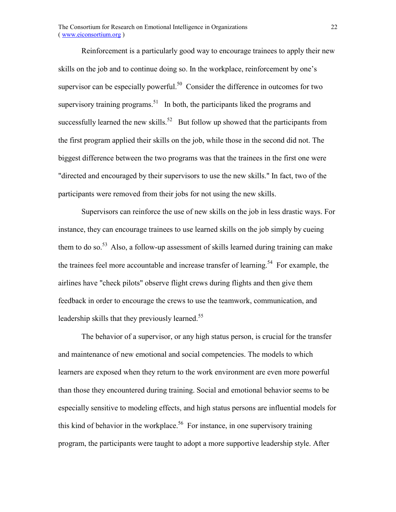Reinforcement is a particularly good way to encourage trainees to apply their new skills on the job and to continue doing so. In the workplace, reinforcement by one's supervisor can be especially powerful.<sup>50</sup> Consider the difference in outcomes for two supervisory training programs.<sup>51</sup> In both, the participants liked the programs and successfully learned the new skills.<sup>52</sup> But follow up showed that the participants from the first program applied their skills on the job, while those in the second did not. The biggest difference between the two programs was that the trainees in the first one were "directed and encouraged by their supervisors to use the new skills." In fact, two of the participants were removed from their jobs for not using the new skills.

Supervisors can reinforce the use of new skills on the job in less drastic ways. For instance, they can encourage trainees to use learned skills on the job simply by cueing them to do so.<sup>53</sup> Also, a follow-up assessment of skills learned during training can make the trainees feel more accountable and increase transfer of learning.<sup>54</sup> For example, the airlines have "check pilots" observe flight crews during flights and then give them feedback in order to encourage the crews to use the teamwork, communication, and leadership skills that they previously learned.<sup>55</sup>

The behavior of a supervisor, or any high status person, is crucial for the transfer and maintenance of new emotional and social competencies. The models to which learners are exposed when they return to the work environment are even more powerful than those they encountered during training. Social and emotional behavior seems to be especially sensitive to modeling effects, and high status persons are influential models for this kind of behavior in the workplace.<sup>56</sup> For instance, in one supervisory training program, the participants were taught to adopt a more supportive leadership style. After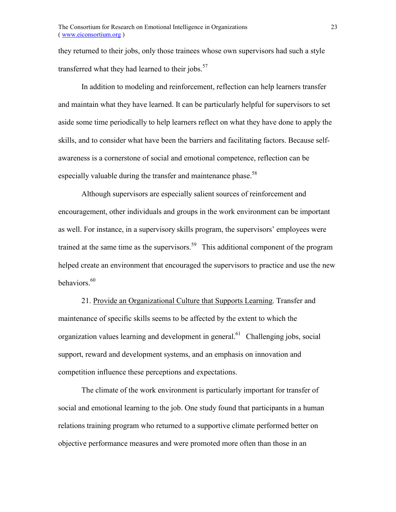they returned to their jobs, only those trainees whose own supervisors had such a style transferred what they had learned to their jobs. $57$ 

In addition to modeling and reinforcement, reflection can help learners transfer and maintain what they have learned. It can be particularly helpful for supervisors to set aside some time periodically to help learners reflect on what they have done to apply the skills, and to consider what have been the barriers and facilitating factors. Because selfawareness is a cornerstone of social and emotional competence, reflection can be especially valuable during the transfer and maintenance phase.<sup>58</sup>

Although supervisors are especially salient sources of reinforcement and encouragement, other individuals and groups in the work environment can be important as well. For instance, in a supervisory skills program, the supervisors' employees were trained at the same time as the supervisors.<sup>59</sup> This additional component of the program helped create an environment that encouraged the supervisors to practice and use the new behaviors.<sup>60</sup>

21. Provide an Organizational Culture that Supports Learning. Transfer and maintenance of specific skills seems to be affected by the extent to which the organization values learning and development in general.<sup>61</sup> Challenging jobs, social support, reward and development systems, and an emphasis on innovation and competition influence these perceptions and expectations.

The climate of the work environment is particularly important for transfer of social and emotional learning to the job. One study found that participants in a human relations training program who returned to a supportive climate performed better on objective performance measures and were promoted more often than those in an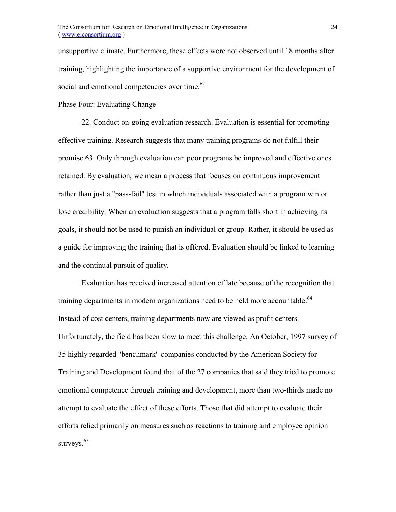unsupportive climate. Furthermore, these effects were not observed until 18 months after training, highlighting the importance of a supportive environment for the development of social and emotional competencies over time. $62$ 

## Phase Four: Evaluating Change

22. Conduct on-going evaluation research. Evaluation is essential for promoting effective training. Research suggests that many training programs do not fulfill their promise.63 Only through evaluation can poor programs be improved and effective ones retained. By evaluation, we mean a process that focuses on continuous improvement rather than just a "pass-fail" test in which individuals associated with a program win or lose credibility. When an evaluation suggests that a program falls short in achieving its goals, it should not be used to punish an individual or group. Rather, it should be used as a guide for improving the training that is offered. Evaluation should be linked to learning and the continual pursuit of quality.

Evaluation has received increased attention of late because of the recognition that training departments in modern organizations need to be held more accountable.<sup>64</sup> Instead of cost centers, training departments now are viewed as profit centers. Unfortunately, the field has been slow to meet this challenge. An October, 1997 survey of 35 highly regarded "benchmark" companies conducted by the American Society for Training and Development found that of the 27 companies that said they tried to promote emotional competence through training and development, more than two-thirds made no attempt to evaluate the effect of these efforts. Those that did attempt to evaluate their efforts relied primarily on measures such as reactions to training and employee opinion surveys. $65$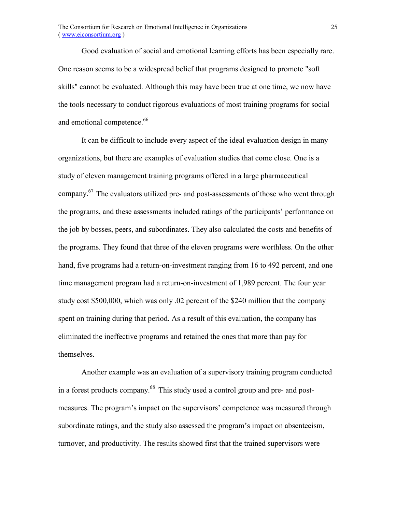Good evaluation of social and emotional learning efforts has been especially rare. One reason seems to be a widespread belief that programs designed to promote "soft skills" cannot be evaluated. Although this may have been true at one time, we now have the tools necessary to conduct rigorous evaluations of most training programs for social and emotional competence.<sup>66</sup>

It can be difficult to include every aspect of the ideal evaluation design in many organizations, but there are examples of evaluation studies that come close. One is a study of eleven management training programs offered in a large pharmaceutical company.67 The evaluators utilized pre- and post-assessments of those who went through the programs, and these assessments included ratings of the participants' performance on the job by bosses, peers, and subordinates. They also calculated the costs and benefits of the programs. They found that three of the eleven programs were worthless. On the other hand, five programs had a return-on-investment ranging from 16 to 492 percent, and one time management program had a return-on-investment of 1,989 percent. The four year study cost \$500,000, which was only .02 percent of the \$240 million that the company spent on training during that period. As a result of this evaluation, the company has eliminated the ineffective programs and retained the ones that more than pay for themselves.

Another example was an evaluation of a supervisory training program conducted in a forest products company.<sup>68</sup> This study used a control group and pre- and postmeasures. The program's impact on the supervisors' competence was measured through subordinate ratings, and the study also assessed the program's impact on absenteeism, turnover, and productivity. The results showed first that the trained supervisors were

25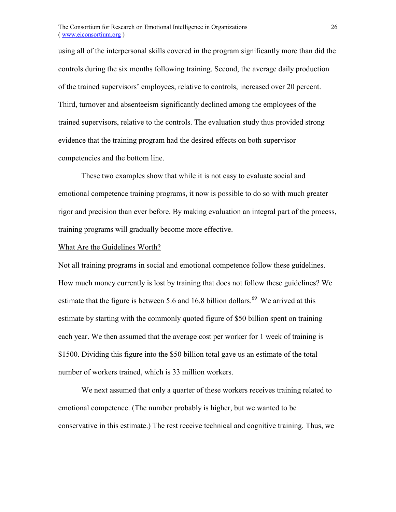using all of the interpersonal skills covered in the program significantly more than did the controls during the six months following training. Second, the average daily production of the trained supervisors' employees, relative to controls, increased over 20 percent. Third, turnover and absenteeism significantly declined among the employees of the trained supervisors, relative to the controls. The evaluation study thus provided strong evidence that the training program had the desired effects on both supervisor competencies and the bottom line.

These two examples show that while it is not easy to evaluate social and emotional competence training programs, it now is possible to do so with much greater rigor and precision than ever before. By making evaluation an integral part of the process, training programs will gradually become more effective.

#### What Are the Guidelines Worth?

Not all training programs in social and emotional competence follow these guidelines. How much money currently is lost by training that does not follow these guidelines? We estimate that the figure is between 5.6 and 16.8 billion dollars.<sup>69</sup> We arrived at this estimate by starting with the commonly quoted figure of \$50 billion spent on training each year. We then assumed that the average cost per worker for 1 week of training is \$1500. Dividing this figure into the \$50 billion total gave us an estimate of the total number of workers trained, which is 33 million workers.

We next assumed that only a quarter of these workers receives training related to emotional competence. (The number probably is higher, but we wanted to be conservative in this estimate.) The rest receive technical and cognitive training. Thus, we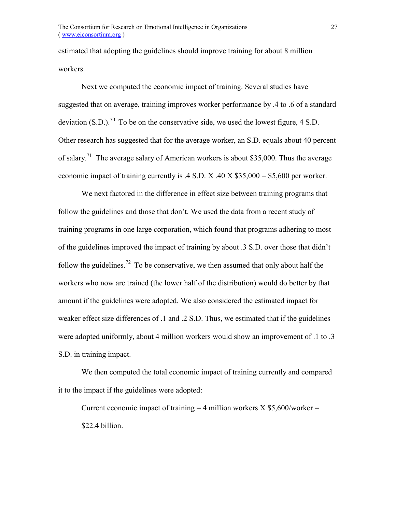estimated that adopting the guidelines should improve training for about 8 million workers.

Next we computed the economic impact of training. Several studies have suggested that on average, training improves worker performance by .4 to .6 of a standard deviation  $(S.D.)^{70}$  To be on the conservative side, we used the lowest figure, 4 S.D. Other research has suggested that for the average worker, an S.D. equals about 40 percent of salary.<sup>71</sup> The average salary of American workers is about \$35,000. Thus the average economic impact of training currently is .4 S.D. X .40 X  $$35,000 = $5,600$  per worker.

We next factored in the difference in effect size between training programs that follow the guidelines and those that don't. We used the data from a recent study of training programs in one large corporation, which found that programs adhering to most of the guidelines improved the impact of training by about .3 S.D. over those that didn't follow the guidelines.<sup>72</sup> To be conservative, we then assumed that only about half the workers who now are trained (the lower half of the distribution) would do better by that amount if the guidelines were adopted. We also considered the estimated impact for weaker effect size differences of .1 and .2 S.D. Thus, we estimated that if the guidelines were adopted uniformly, about 4 million workers would show an improvement of .1 to .3 S.D. in training impact.

We then computed the total economic impact of training currently and compared it to the impact if the guidelines were adopted:

Current economic impact of training  $=$  4 million workers X \$5,600/worker  $=$ \$22.4 billion.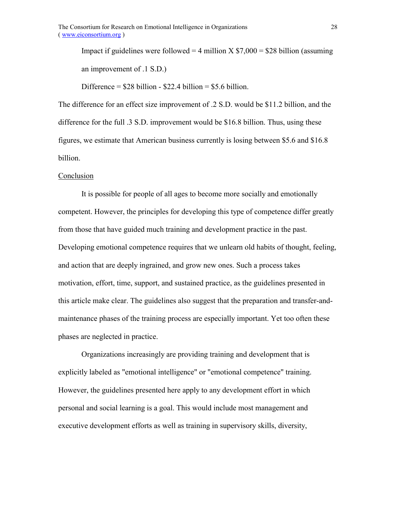Impact if guidelines were followed = 4 million X  $$7,000 = $28$  billion (assuming) an improvement of .1 S.D.)

Difference =  $$28$  billion -  $$22.4$  billion =  $$5.6$  billion.

The difference for an effect size improvement of .2 S.D. would be \$11.2 billion, and the difference for the full .3 S.D. improvement would be \$16.8 billion. Thus, using these figures, we estimate that American business currently is losing between \$5.6 and \$16.8 billion.

## Conclusion

It is possible for people of all ages to become more socially and emotionally competent. However, the principles for developing this type of competence differ greatly from those that have guided much training and development practice in the past. Developing emotional competence requires that we unlearn old habits of thought, feeling, and action that are deeply ingrained, and grow new ones. Such a process takes motivation, effort, time, support, and sustained practice, as the guidelines presented in this article make clear. The guidelines also suggest that the preparation and transfer-andmaintenance phases of the training process are especially important. Yet too often these phases are neglected in practice.

Organizations increasingly are providing training and development that is explicitly labeled as "emotional intelligence" or "emotional competence" training. However, the guidelines presented here apply to any development effort in which personal and social learning is a goal. This would include most management and executive development efforts as well as training in supervisory skills, diversity,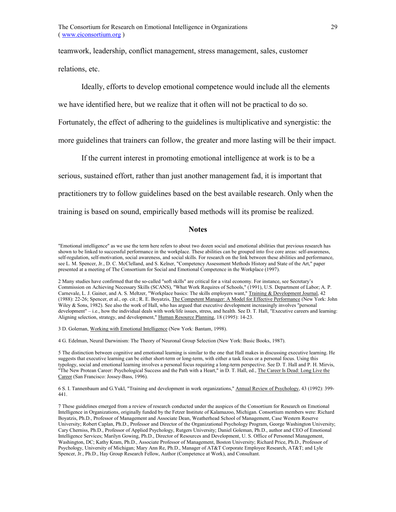teamwork, leadership, conflict management, stress management, sales, customer relations, etc.

Ideally, efforts to develop emotional competence would include all the elements

we have identified here, but we realize that it often will not be practical to do so.

Fortunately, the effect of adhering to the guidelines is multiplicative and synergistic: the

more guidelines that trainers can follow, the greater and more lasting will be their impact.

If the current interest in promoting emotional intelligence at work is to be a

serious, sustained effort, rather than just another management fad, it is important that

practitioners try to follow guidelines based on the best available research. Only when the

training is based on sound, empirically based methods will its promise be realized.

#### **Notes**

"Emotional intelligence" as we use the term here refers to about two dozen social and emotional abilities that previous research has shown to be linked to successful performance in the workplace. These abilities can be grouped into five core areas: self-awareness, self-regulation, self-motivation, social awareness, and social skills. For research on the link between these abilities and performance, see L. M. Spencer, Jr., D. C. McClelland, and S. Kelner, "Competency Assessment Methods History and State of the Art," paper presented at a meeting of The Consortium for Social and Emotional Competence in the Workplace (1997).

2 Many studies have confirmed that the so-called "soft skills" are critical for a vital economy. For instance, see Secretaryís Commission on Achieving Necessary Skills (SCANS), "What Work Requires of Schools," (1991), U.S. Department of Labor; A. P. Carnevale, L. J. Gainer, and A. S. Meltzer, "Workplace basics: The skills employers want," Training & Development Journal, 42 (1988): 22-26; Spencer, et al., op. cit.; R. E. Boyatzis, The Competent Manager: A Model for Effective Performance (New York: John Wiley & Sons, 1982). See also the work of Hall, who has argued that executive development increasingly involves "personal development" – i.e., how the individual deals with work/life issues, stress, and health. See D. T. Hall, "Executive careers and learning: Aligning selection, strategy, and development," Human Resource Planning, 18 (1995): 14-23.

3 D. Goleman, Working with Emotional Intelligence (New York: Bantam, 1998).

4 G. Edelman, Neural Darwinism: The Theory of Neuronal Group Selection (New York: Basic Books, 1987).

5 The distinction between cognitive and emotional learning is similar to the one that Hall makes in discussing executive learning. He suggests that executive learning can be either short-term or long-term, with either a task focus or a personal focus. Using this typology, social and emotional learning involves a personal focus requiring a long-term perspective. See D. T. Hall and P. H. Mirvis, "The New Protean Career: Psychological Success and the Path with a Heart," in D. T. Hall, ed., The Career Is Dead: Long Live the Career (San Francisco: Jossey-Bass, 1996).

6 S. I. Tannenbaum and G.Yukl, "Training and development in work organizations," Annual Review of Psychology, 43 (1992): 399- 441.

7 These guidelines emerged from a review of research conducted under the auspices of the Consortium for Research on Emotional Intelligence in Organizations, originally funded by the Fetzer Institute of Kalamazoo, Michigan. Consortium members were: Richard Boyatzis, Ph.D., Professor of Management and Associate Dean, Weatherhead School of Management, Case Western Reserve University; Robert Caplan, Ph.D., Professor and Director of the Organizational Psychology Program, George Washington University; Cary Cherniss, Ph.D., Professor of Applied Psychology, Rutgers University; Daniel Goleman, Ph.D., author and CEO of Emotional Intelligence Services; Marilyn Gowing, Ph.D., Director of Resources and Development, U. S. Office of Personnel Management, Washington, DC; Kathy Kram, Ph.D., Associate Professor of Management, Boston University; Richard Price, Ph.D., Professor of Psychology, University of Michigan; Mary Ann Re, Ph.D., Manager of AT&T Corporate Employee Research, AT&T; and Lyle Spencer, Jr., Ph.D., Hay Group Research Fellow, Author (Competence at Work), and Consultant.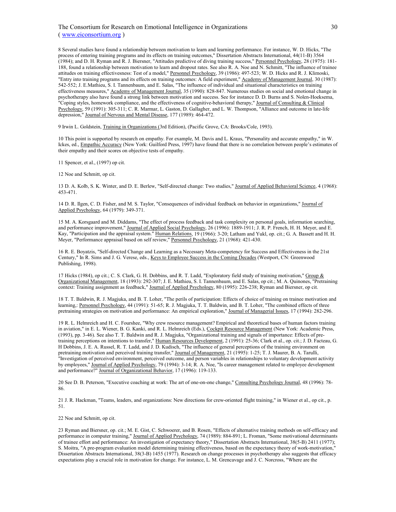#### The Consortium for Research on Emotional Intelligence in Organizations ( www.eiconsortium.org )

8 Several studies have found a relationship between motivation to learn and learning performance. For instance, W. D. Hicks, "The process of entering training programs and its effects on training outcomes," Dissertation Abstracts International, 44(11-B) 3564 (1984); and D. H. Ryman and R. J. Biersner, "Attitudes predictive of diving training success," Personnel Psychology, 28 (1975): 181- 188, found a relationship between motivation to learn and dropout rates. See also R. A. Noe and N. Schmitt, "The influence of trainee attitudes on training effectivesness: Test of a model," Personnel Psychology, 39 (1986): 497-523; W. D. Hicks and R. J. Klimoski, "Entry into training programs and its effects on training outcomes: A field experiment," Academy of Management Journal, 30 (1987): 542-552; J. E.Mathieu, S. I. Tannenbaum, and E. Salas, "The influence of individual and situational characteristics on training effectiveness measures," Academy of Management Journal, 35 (1990): 828-847. Numerous studies on social and emotional change in psychotherapy also have found a strong link between motivation and success. See for instance D. D. Burns and S. Nolen-Hoeksema, "Coping styles, homework compliance, and the effectiveness of cognitive-behavioral therapy," Journal of Consulting & Clinical Psychology, 59 (1991): 305-311; C. R. Marmar, L. Gaston, D. Gallagher, and L. W. Thompson, "Alliance and outcome in late-life depression," Journal of Nervous and Mental Disease, 177 (1989): 464-472.

9 Irwin L. Goldstein, Training in Organizations (3rd Edition), (Pacific Grove, CA: Brooks/Cole, 1993).

10 This point is supported by research on empathy. For example, M. Davis and L. Kraus, "Personality and accurate empathy," in W. Ickes, ed., Empathic Accuracy (New York: Guilford Press, 1997) have found that there is no correlation between people's estimates of their empathy and their scores on objective tests of empathy.

11 Spencer, et al., (1997) op cit.

12 Noe and Schmitt, op cit.

13 D. A. Kolb, S. K. Winter, and D. E. Berlew, "Self-directed change: Two studies," Journal of Applied Behavioral Science, 4 (1968): 453-471.

14 D. R. Ilgen, C. D. Fisher, and M. S. Taylor, "Consequences of individual feedback on behavior in organizations," Journal of Applied Psychology, 64 (1979): 349-371.

15 M. A. Korsgaard and M. Diddams, "The effect of process feedback and task complexity on personal goals, information searching, and performance improvement," Journal of Applied Social Psychology, 26 (1996): 1889-1911; J. R. P. French, H. H. Meyer, and E. Kay, "Participation and the appraisal system." Human Relations, 19 (1966): 3-20; Latham and Yukl, op. cit.; G. A. Bassett and H. H. Meyer, "Performance appraisal based on self review," Personnel Psychology, 21 (1968): 421-430.

16 R. E. Boyatzis, "Self-directed Change and Learning as a Necessary Meta-competency for Success and Effectiveness in the 21st Century," In R. Sims and J. G. Verese, eds., Keys to Employee Success in the Coming Decades (Westport, CN: Greenwood Publishing, 1998).

17 Hicks (1984), op cit.; C. S. Clark, G. H. Dobbins, and R. T. Ladd, "Exploratory field study of training motivation," Group & Organizational Management, 18 (1993): 292-307; J. E. Mathieu, S. I. Tannenbaum, and E. Salas, op cit.; M. A. Quinones, "Pretraining context: Training assignment as feedback," Journal of Applied Psychology, 80 (1995): 226-238; Ryman and Biersner, op cit.

18 T. T. Baldwin, R. J. Magjuka, and B. T. Loher, "The perils of participation: Effects of choice of training on trainee motivation and learning,: Personnel Psychology, 44 (1991): 51-65; R. J. Magjuka, T. T. Baldwin, and B. T. Loher, "The combined effects of three pretraining strategies on motivation and performance: An empirical exploration," Journal of Managerial Issues, 17 (1994): 282-296.

19 R. L. Helmreich and H. C. Fourshee, "Why crew resource management? Empirical and theoretical bases of human factors training in aviation," in E. L. Wiener, B. G. Kanki, and R. L. Helmreich (Eds.), Cockpit Resource Management (New York: Academic Press, (1993), pp. 3-46). See also T. T. Baldwin and R. J. Magjuka, "Organizational training and signals of importance: Effects of pretraining perceptions on intentions to transfer," Human Resources Development, 2 (1991): 25-36; Clark et al., op. cit.; J. D. Facteau, G. H Dobbins, J. E. A. Russel, R. T. Ladd, and J. D. Kudisch, "The influence of general perceptions of the training environment on pretraining motivation and perceived training transfer," Journal of Management, 21 (1995): 1-25; T. J. Maurer, B. A. Tarulli, "Investigation of perceived environment, perceived outcome, and person variables in relationships to voluntary development activity by employees," Journal of Applied Psychology, 79 (1994): 3-14; R. A. Noe, "Is career management related to employee development and performance?" Journal of Organizational Behavior, 17 (1996): 119-133.

20 See D. B. Peterson, "Executive coaching at work: The art of one-on-one change," Consulting Psychology Journal, 48 (1996): 78- 86.

21 J. R. Hackman, "Teams, leaders, and organizations: New directions for crew-oriented flight training," in Wiener et al., op cit., p. 51.

22 Noe and Schmitt, op cit.

23 Ryman and Biersner, op. cit.; M. E. Gist, C. Schwoerer, and B. Rosen, "Effects of alternative training methods on self-efficacy and performance in computer training," Journal of Applied Psychology, 74 (1989): 884-891; L. Froman, "Some motivational determinants of trainee effort and performance: An investigation of expectancy theory," Dissertation Abstracts International, 38(5-B) 2411 (1977); S. Moitra, "A pre-program evaluation model determining training effectiveness, based on the expectancy theory of work-motivation," Dissertation Abstracts International, 38(3-B) 1455 (1977). Research on change processes in psychotherapy also suggests that efficacy expectations play a crucial role in motivation for change. For instance, L. M. Grencavage and J. C. Norcross, "Where are the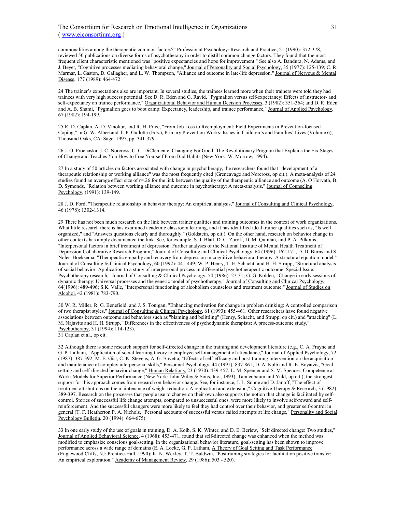commonalities among the therapeutic common factors?" Professional Psychology: Research and Practice, 21 (1990): 372-378, reviewed 50 publications on diverse forms of psychotherapy in order to distill common change factors. They found that the most frequent client characteristic mentioned was "positive expectancies and hope for improvement." See also A. Bandura, N. Adams, and J. Beyer, "Cognitive processes mediating behavioral change," Journal of Personality and Social Psychology, 35 (1977): 125-139; C. R. Marmar, L. Gaston, D. Gallagher, and L. W. Thompson, "Alliance and outcome in late-life depression," Journal of Nervous & Mental Disease, 177 (1989): 464-472.

24 The trainer's expectations also are important. In several studies, the trainees learned more when their trainers were told they had trainees with very high success potential. See D. R. Eden and G. Ravid, "Pygmalion versus self-expectancy: Effects of instructor- and self-expectancy on trainee performance," Organizational Behavior and Human Decision Processes, 3 (1982): 351-364; and D. R. Eden and A. B. Shami, "Pygmalion goes to boot camp: Expectancy, leadership, and trainee performance," Journal of Applied Psychology, 67 (1982): 194-199.

25 R. D. Caplan, A. D. Vinokur, and R. H. Price, "From Job Loss to Reemployment: Field Experiments in Prevention-focused Coping," in G. W. Albee and T. P. Gullotta (Eds.), Primary Prevention Works: Issues in Children's and Families' Lives (Volume 6), Thousand Oaks, CA: Sage, 1997, pp. 341-379.

26 J. O. Prochaska, J. C. Norcross, C. C. DiClemente, Changing For Good: The Revolutionary Program that Explains the Six Stages of Change and Teaches You How to Free Yourself From Bad Habits (New York: W. Morrow, 1994).

27 In a study of 50 articles on factors associated with change in psychotherapy, the researchers found that "development of a therapeutic relationship or working alliance" was the most frequently cited (Grencavage and Norcross, op cit.). A meta-analysis of 24 studies found an average effect size of  $r=26$  for the link between the quality of the therapeutic alliance and outcome (A. O Horvath, B. D. Symonds, "Relation between working alliance and outcome in psychotherapy: A meta-analysis," Journal of Counseling Psychology, (1991): 139-149.

28 J. D. Ford, "Therapeutic relationship in behavior therapy: An empirical analysis," Journal of Consulting and Clinical Psychology, 46 (1978): 1302-1314.

29 There has not been much research on the link between trainer qualities and training outcomes in the context of work organizations. What little research there is has examined academic classroom learning, and it has identified ideal trainer qualities such as, "Is well organized," and "Answers questions clearly and thoroughly." (Goldstein, op cit.). On the other hand, research on behavior change in other contexts has amply documented the link. See, for example, S. J. Blatt, D. C. Zuroff, D. M. Quinlan, and P. A. Pilkonis, "Interpersonal factors in brief treatment of depression: Further analyses of the National Institute of Mental Health Treatment of Depression Collaborative Research Program," Journal of Consulting and Clinical Psychology, 64 (1996): 162-171; D. D. Burns and S. Nolen-Hoeksema, "Therapeutic empathy and recovery from depression in cognitive-behavioral therapy: A structural equation model," Journal of Consulting & Clinical Psychology, 60 (1992): 441-449; W. P. Henry, T. E. Schacht, and H. H. Strupp, "Structural analysis of social behavior: Application to a study of interpersonal process in differential psychotherapeutic outcome. Special Issue: Psychotherapy research," Journal of Consulting & Clinical Psychology, 54 (1986): 27-31; G. G. Kolden, "Change in early sessions of dynamic therapy: Universal processes and the generic model of psychotherapy," Journal of Consulting and Clinical Psychology, 64(1996): 489-496; S.K. Valle, "Interpersonal functioning of alcoholism counselors and treatment outcome," Journal of Studies on Alcohol, 42 (1981): 783-790.

30 W. R. Miller, R. G. Benefield, and J. S. Tonigan, "Enhancing motivation for change in problem drinking: A controlled comparison of two therapist styles," Journal of Consulting & Clinical Psychology, 61 (1993): 455-461. Other researchers have found negative associations between outcome and behaviors such as "blaming and belittling" (Henry, Schacht, and Strupp, op cit.) and "attacking" (L. M. Najavits and H. H. Strupp, "Differences in the effectiveness of psychodynamic therapists: A process-outcome study," Psychotherapy, 31 (1994): 114-123).

32 Although there is some research support for self-directed change in the training and development literature (e.g., C. A. Frayne and G. P. Latham, "Application of social learning theory to employee self-management of attendance," Journal of Applied Psychology, 72 (1987): 387-392; M. E. Gist, C. K. Stevens, A. G. Bavetta, "Effects of self-efficacy and post-training intervention on the acquisition and maintenance of complex interpersonal skills," Personnel Psychology, 44 (1991): 837-861; D. A. Kolb and R. E. Boyatzis, "Goal setting and self-directed behavior change," Human Relations, 23 (1970): 439-457; L. M. Spencer and S. M. Spencer, Competence at Work: Models for Superior Performance (New York: John Wiley & Sons, Inc., 1993); Tannenbaum and Yukl, op cit.), the strongest support for this approach comes from research on behavior change. See, for instance, J. L. Sonne and D. Janoff, "The effect of treatment attributions on the maintenance of weight reduction: A replication and extension," Cognitive Therapy & Research, 3 (1982): 389-397. Research on the processes that people use to change on their own also supports the notion that change is facilitated by selfcontrol. Stories of successful life change attempts, compared to unsuccessful ones, were more likely to involve self-reward and selfreinforcement. And the successful changers were more likely to feel they had control over their behavior, and greater self-control in general (T. F. Heatherton P. A. Nichols, "Personal accounts of successful versus failed attempts at life change," Personality and Social Psychology Bulletin, 20 (1994): 664-675).

33 In one early study of the use of goals in training, D. A. Kolb, S. K. Winter, and D. E. Berlew, "Self directed change: Two studies," Journal of Applied Behavioral Science, 4 (1968): 453-471, found that self-directed change was enhanced when the method was modified to emphasize conscious goal-setting. In the organizational behavior literature, goal-setting has been shown to improve performance across a wide range of domains (E. A. Locke, G. P. Latham, A Theory of Goal Setting and Task Performance (Englewood Cliffs, NJ: Prentice-Hall, 1990); K. N. Wexley, T. T. Baldwin, "Posttraining strategies for facilitation positive transfer: An empirical exploration," Academy of Management Review, 29 (1986): 503 - 520).

<sup>31</sup> Caplan et al., op cit.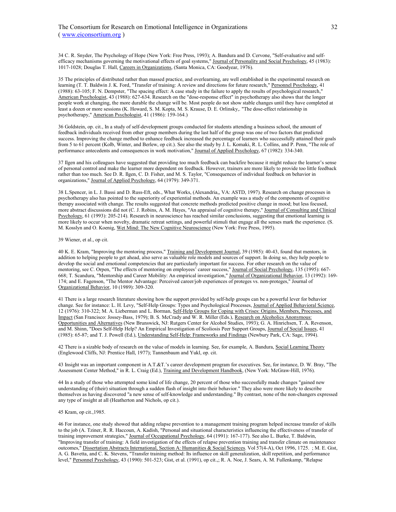34 C. R. Snyder, The Psychology of Hope (New York: Free Press, 1993); A. Bandura and D. Cervone, "Self-evaluative and selfefficacy mechanisms governing the motivational effects of goal systems," Journal of Personality and Social Psychology, 45 (1983): 1017-1028; Douglas T. Hall, Careers in Organizations, (Santa Monica, CA: Goodyear, 1976).

35 The principles of distributed rather than massed practice, and overlearning, are well established in the experimental research on learning (T. T. Baldwin J. K. Ford, "Transfer of training: A review and directions for future research," Personnel Psychology, 41 (1988): 63-105; F. N. Dempster, "The spacing effect: A case study in the failure to apply the results of psychological research," American Psychologist, 43 (1988): 627-634. Research on the "dose-response effect" in psychotherapy also shows that the longer people work at changing, the more durable the change will be. Most people do not show stable changes until they have completed at least a dozen or more sessions (K. Howard, S. M. Kopta, M. S. Krause, D. E. Orlinsky,. "The dose-effect relationship in psychotherapy," American Psychologist, 41 (1986): 159-164.)

36 Goldstein, op. cit., In a study of self-development groups conducted for students attending a business school, the amount of feedback individuals received from other group members during the last half of the group was one of two factors that predicted success. Improving the change method to enhance feedback increased the percentage of learners who successfully attained their goals from 5 to 61 percent (Kolb, Winter, and Berlew, op cit.). See also the study by J. L. Komaki, R. L. Collins, and P. Penn, "The role of performance antecedents and consequences in work motivation," Journal of Applied Psychology, 67 (1982): 334-340.

37 Ilgen and his colleagues have suggested that providing too much feedback can backfire because it might reduce the learnerís sense of personal control and make the learner more dependent on feedback. However, trainers are more likely to provide too little feedback rather than too much. See D. R. Ilgen, C. D. Fisher, and M. S. Taylor, "Consequences of individual feedback on behavior in organizations," Journal of Applied Psychology, 64 (1979): 349-371.

38 L.Spencer, in L. J. Bassi and D. Russ-Eft, eds., What Works, (Alexandria,, VA: ASTD, 1997). Research on change processes in psychotherapy also has pointed to the superiority of experiential methods. An example was a study of the components of cognitive therapy associated with change. The results suggested that concrete methods predicted positive change in mood; but less focused, more abstract discussions did not (C. J. Robins, A. M. Hayes, "An appraisal of cognitive therapy," Journal of Consulting and Clinical Psychology, 61 (1993): 205-214). Research in neuroscience has reached similar conclusions, suggesting that emotional learning is more likely to occur when novelty, dramatic retreat settings, and powerful stimuli that engage all the senses mark the experience. (S. M. Kosslyn and O. Koenig, Wet Mind: The New Cognitive Neuroscience (New York: Free Press, 1995).

#### 39 Wiener, et al., op cit.

40 K. E. Kram, "Improving the mentoring process," Training and Development Journal, 39 (1985): 40-43, found that mentors, in addition to helping people to get ahead, also serve as valuable role models and sources of support. In doing so, they help people to develop the social and emotional competencies that are particularly important for success. For other research on the value of mentoring, see C. Orpen, "The effects of mentoring on employees' career success," Journal of Social Psychology, 135 (1995): 667-668; T. Scandura, "Mentorship and Career Mobility: An empirical investigation," Journal of Organizational Behavior, 13 (1992): 169-174; and E. Fagenson, "The Mentor Advantage: Perceived career/job experiences of proteges vs. non-proteges," Journal of Organizational Behavior, 10 (1989): 309-320.

41 There is a large research literature showing how the support provided by self-help groups can be a powerful lever for behavior change. See for instance: L. H. Levy, "Self-Help Groups: Types and Psychological Processes, Journal of Applied Behavioral Science, 12 (1976): 310-322; M. A. Lieberman and L. Borman, Self-Help Groups for Coping with Crises: Origins, Members, Processes, and Impact (San Francisco: Jossey-Bass, 1979); B. S. McCrady and W. R. Miller (Eds.), Research on Alcoholics Anonymous: Opportunities and Alternatives (New Brunswick, NJ: Rutgers Center for Alcohol Studies, 1993); G. A. Hinrichsen, T. A. Revenson, and M. Shinn, "Does Self-Help Help? An Empirical Investigation of Scoliosis Peer Support Groups, Journal of Social Issues, 41 (1985): 65-87; and T. J. Powell (Ed.), Understanding Self-Help: Frameworks and Findings (Newbury Park, CA: Sage, 1994).

42 There is a sizable body of research on the value of models in learning. See, for example, A. Bandura, Social Learning Theory (Englewood Cliffs, NJ: Prentice Hall, 1977); Tannenbaum and Yukl, op. cit.

43 Insight was an important component in A.T.&T.'s career development program for executives. See, for instance, D. W. Bray, "The Assessment Center Method," in R. L. Craig (Ed.), Training and Development Handbook, (New York: McGraw-Hill, 1976).

44 In a study of those who attempted some kind of life change, 20 percent of those who successfully made changes "gained new understanding of (their) situation through a sudden flash of insight into their behavior." They also were more likely to describe themselves as having discovered "a new sense of self-knowledge and understanding." By contrast, none of the non-changers expressed any type of insight at all (Heatherton and Nichols, op cit.).

#### 45 Kram, op cit.,1985.

46 For instance, one study showed that adding relapse prevention to a management training program helped increase transfer of skills to the job (A. Tziner, R. R. Haccoun, A. Kadish, "Personal and situational characteristics influencing the effectiveness of transfer of training improvement strategies," Journal of Occupational Psychology, 64 (1991): 167-177). See also L. Burke, T. Baldwin, "Improving transfer of training: A field investigation of the effects of relapse prevention training and transfer climate on maintenance outcomes," Dissertation Abstracts International, Section A: Humanities & Social Sciences. Vol 57(4-A), Oct 1996, 1725. ; M. E. Gist, A. G. Bavetta, and C. K. Stevens, "Transfer training method: Its influence on skill generalization, skill repetition, and performance level," Personnel Psychology, 43 (1990): 501-523; Gist, et al. (1991), op cit.,; R. A. Noe, J. Sears, A. M. Fullenkamp, "Relapse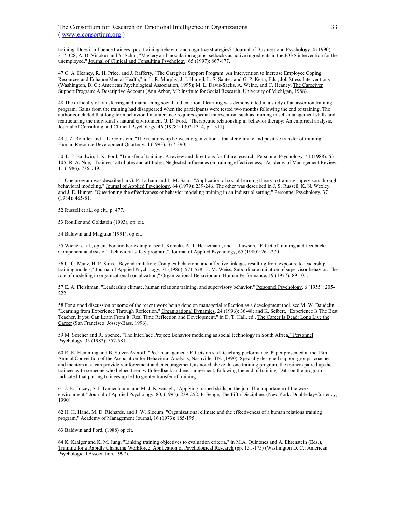The Consortium for Research on Emotional Intelligence in Organizations ( www.eiconsortium.org )

training: Does it influence trainees' post training behavior and cognitive strategies?" Journal of Business and Psychology, 4 (1990): 317-328; A. D. Vinokur and Y. Schul, "Mastery and inoculation against setbacks as active ingredients in the JOBS intervention for the unemployed," Journal of Clinical and Consulting Psychology, 65 (1997): 867-877.

47 C. A. Heaney, R. H. Price, and J. Rafferty, "The Caregiver Support Program: An Intervention to Increase Employee Coping Resources and Enhance Mental Health," in L. R. Murphy, J. J. Hurrell, L. S. Sauter, and G. P. Keita, Eds., Job Stress Interventions (Washington, D. C.: American Psychological Association, 1995); M. L. Davis-Sacks, A. Weine, and C. Heaney, The Caregiver Support Program: A Descriptive Account (Ann Arbor, MI: Institute for Social Research, University of Michigan, 1988).

48 The difficulty of transferring and maintaining social and emotional learning was demonstrated in a study of an assertion training program. Gains from the training had disappeared when the participants were tested two months following the end of training. The author concluded that long-term behavioral maintenance requires special intervention, such as training in self-management skills and restructuring the individual's natural environment (J. D. Ford, "Therapeutic relationship in behavior therapy: An empirical analysis," Journal of Consulting and Clinical Psychology, 46 (1978): 1302-1314, p. 1311).

49 J. Z. Rouiller and I. L. Goldstein, "The relationship between organizational transfer climate and positive transfer of training," Human Resource Development Quarterly, 4 (1993): 377-390.

50 T. T. Baldwin, J. K. Ford, "Transfer of training: A review and directions for future research. Personnel Psychology, 41 (1988): 63- 105; R. A. Noe, "Trainees' attributes and attitudes: Neglected influences on training effectiveness," Academy of Management Review, 11 (1986): 736-749.

51 One program was described in G. P. Latham and L. M. Saari, "Application of social-learning theory to training supervisors through behavioral modeling," Journal of Applied Psychology, 64 (1979): 239-246. The other was described in J. S. Russell, K. N. Wexley, and J. E. Hunter, "Questioning the effectiveness of behavior modeling training in an industrial setting," Personnel Psychology, 37 (1984): 465-81.

52 Russell et al., op cit., p. 477.

53 Rouiller and Goldstein (1993), op. cit.

54 Baldwin and Magjuka (1991), op cit.

55 Wiener et al., op cit. For another example, see J. Komaki, A. T. Heinzmann, and L. Lawson, "Effect of training and feedback: Component analysis of a behavioral safety program,". Journal of Applied Psychology, 65 (1980): 261-270.

56 C. C. Manz, H. P. Sims, "Beyond imitation: Complex behavioral and affective linkages resulting from exposure to leadership training models," Journal of Applied Psychology, 71 (1986): 571-578; H. M. Weiss, Subordinate imitation of supervisor behavior: The role of modeling in organizational socialization," Organizational Behavior and Human Performance, 19 (1977): 89-105.

57 E. A. Fleishman, "Leadership climate, human relations training, and supervisory behavior," Personnel Psychology, 6 (1955): 205- 222.

58 For a good discussion of some of the recent work being done on managerial reflection as a development tool, see M. W. Daudelin, "Learning from Experience Through Reflection," Organizational Dynamics, 24 (1996): 36-48; and K. Seibert, "Experience Is The Best Teacher, If you Can Learn From It: Real Time Reflection and Development," in D. T. Hall, ed., The Career Is Dead: Long Live the Career (San Francisco: Jossey-Bass, 1996).

59 M. Sorcher and R. Spence, "The InterFace Project: Behavior modeling as social technology in South Africa," Personnel Psychology, 35 (1982): 557-581.

60 R. K. Flemming and B. Sulzer-Azeroff, "Peer management: Effects on staff teaching performance, Paper presented at the 15th Annual Convention of the Association for Behavioral Analysis, Nashville, TN. (1990). Specially designed support groups, coaches, and mentors also can provide reinforcement and encouragement, as noted above. In one training program, the trainers paired up the trainees with someone who helped them with feedback and encouragement, following the end of training. Data on the program indicated that pairing trainees up led to greater transfer of training.

61 J. B. Tracey, S. I. Tannenbaum, and M. J. Kavanagh, "Applying trained skills on the job: The importance of the work environment," Journal of Applied Psychology, 80, (1995): 239-252; P. Senge, The Fifth Discipline. (New York: Doubleday/Currency, 1990).

62 H. H. Hand, M. D. Richards, and J. W. Slocum, "Organizational climate and the effectiveness of a human relations training program," Academy of Management Journal, 16 (1973): 185-195.

63 Baldwin and Ford, (1988) op cit.

64 K. Kraiger and K. M. Jung, "Linking training objectives to evaluation criteria," in M.A. Quinones and A. Ehrenstein (Eds.), Training for a Rapidly Changing Workforce: Application of Psychological Research (pp. 151-175) (Washington D. C.: American Psychological Association, 1997).